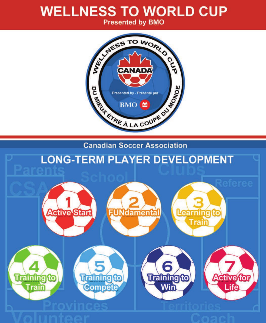## **WELLNESS TO WORLD CUP**

**Presented by BMO** 



**Canadian Soccer Association** 

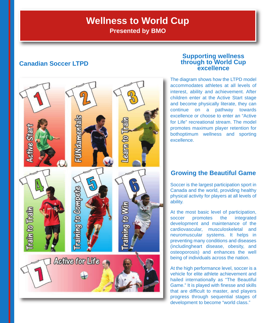## **Wellness to World Cup**

**Presented by BMO**

### **Canadian Soccer LTPD**



### **Supporting wellness through to World Cup excellence**

The diagram shows how the LTPD model accommodates athletes at all levels of interest, ability and achievement. After children enter at the Active Start stage and become physically literate, they can continue on a pathway towards excellence or choose to enter an "Active for Life" recreational stream. The model promotes maximum player retention for bothoptimum wellness and sporting excellence.

### **Growing the Beautiful Game**

Soccer is the largest participation sport in Canada and the world, providing healthy physical activity for players at all levels of ability.

At the most basic level of participation, soccer promotes the integrated development and maintenance of the cardiovascular, musculoskeletal and neuromuscular systems. It helps in preventing many conditions and diseases (includingheart disease, obesity, and osteoporosis) and enhances the well being of individuals across the nation.

At the high performance level, soccer is a vehicle for elite athlete achievement and hailed internationally as "The Beautiful Game." It is played with finesse and skills that are difficult to master, and players progress through sequential stages of development to become "world class."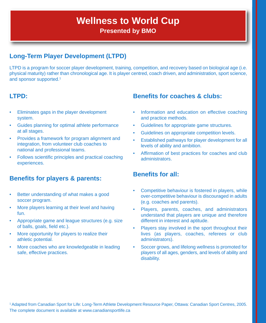## **Wellness to World Cup Presented by BMO**

### **Long-Term Player Development (LTPD)**

LTPD is a program for soccer player development, training, competition, and recovery based on biological age (i.e. physical maturity) rather than chronological age. It is player centred, coach driven, and administration, sport science, and sponsor supported.1

### **LTPD:**

- Eliminates gaps in the player development system.
- Guides planning for optimal athlete performance at all stages.
- Provides a framework for program alignment and integration, from volunteer club coaches to national and professional teams.
- Follows scientific principles and practical coaching experiences.

### **Benefits for players & parents:**

- Better understanding of what makes a good soccer program.
- More players learning at their level and having fun.
- Appropriate game and league structures (e.g. size of balls, goals, field etc.).
- More opportunity for players to realize their athletic potential.
- More coaches who are knowledgeable in leading safe, effective practices.

### **Benefits for coaches & clubs:**

- Information and education on effective coaching and practice methods.
- Guidelines for appropriate game structures.
- Guidelines on appropriate competition levels.
- Established pathways for player development for all levels of ability and ambition.
- Affirmation of best practices for coaches and club administrators.

### **Benefits for all:**

- Competitive behaviour is fostered in players, while over-competitive behaviour is discouraged in adults (e.g. coaches and parents).
- Players, parents, coaches, and administrators understand that players are unique and therefore different in interest and aptitude.
- Players stay involved in the sport throughout their lives (as players, coaches, referees or club administrators).
- Soccer grows, and lifelong wellness is promoted for players of all ages, genders, and levels of ability and disability.

<sup>1</sup> Adapted from Canadian Sport for Life: Long-Term Athlete Development Resource Paper, Ottawa: Canadian Sport Centres, 2005. The complete document is available at www.canadiansportlife.ca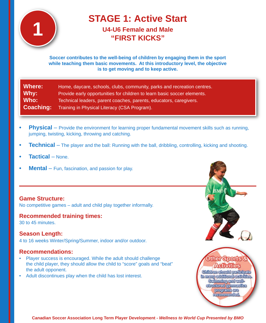

## **STAGE 1: Active Start U4-U6 Female and Male**

### **"FIRST KICKS"**

### **Soccer contributes to the well-being of children by engaging them in the sport while teaching them basic movements. At this introductory level, the objective is to get moving and to keep active.**

| Where:    | Home, daycare, schools, clubs, community, parks and recreation centres.  |
|-----------|--------------------------------------------------------------------------|
| Why:      | Provide early opportunities for children to learn basic soccer elements. |
| Who:      | Technical leaders, parent coaches, parents, educators, caregivers.       |
| Coaching: | Training in Physical Literacy (CSA Program).                             |

- **Physical** Provide the environment for learning proper fundamental movement skills such as running, jumping, twisting, kicking, throwing and catching.
- **Technical** The player and the ball: Running with the ball, dribbling, controlling, kicking and shooting.
- **Tactical** None.
- **Mental** Fun, fascination, and passion for play.

### **Game Structure:**

No competitive games – adult and child play together informally.

### **Recommended training times:**

30 to 45 minutes.

### **Season Length:**

4 to 16 weeks Winter/Spring/Summer, indoor and/or outdoor.

### **Recommendations:**

- Player success is encouraged. While the adult should challenge the child player, they should allow the child to "score" goals and "beat" the adult opponent.
- Adult discontinues play when the child has lost interest.



Achyllies Children should participate th many additional activities. Swimming and wellstructured gymnastics programs are recommended.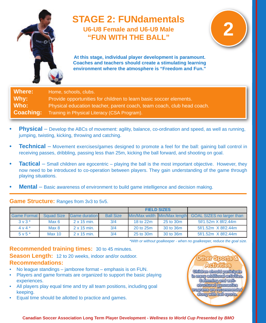

### **STAGE 2: FUNdamentals U6-U8 Female and U6-U9 Male "FUN WITH THE BALL"**



**At this stage, individual player development is paramount. Coaches and teachers should create a stimulating learning environment where the atmosphere is "Freedom and Fun."**

Where: Home, schools, clubs. Why: Provide opportunities for children to learn basic soccer elements. **Who:** Physical education teacher, parent coach, team coach, club head coach. **Coaching:** Training in Physical Literacy (CSA Program).

- **Physical** Develop the ABCs of movement: agility, balance, co-ordination and speed, as well as running, jumping, twisting, kicking, throwing and catching.
- **Fechnical** Movement exercises/games designed to promote a feel for the ball: gaining ball control in receiving passes, dribbling, passing less than 25m, kicking the ball forward, and shooting on goal.
- **Tactical** Small children are egocentric playing the ball is the most important objective. However, they now need to be introduced to co-operation between players. They gain understanding of the game through playing situations.
- **Mental** Basic awareness of environment to build game intelligence and decision making.

### **Game Structure:** Ranges from 3v3 to 5v5.

|                         |                   |                       |                  | <b>FIELD SIZES</b> |                              |                                  |
|-------------------------|-------------------|-----------------------|------------------|--------------------|------------------------------|----------------------------------|
| <b>Game Format</b>      | <b>Squad Size</b> | <b>IGame duration</b> | <b>Ball Size</b> |                    | Min/Max width Min/Max length | <b>GOAL SIZES</b> no larger than |
| $3 \vee 3^*$            | Max 6             | $2 \times 15$ min.    | 3/4              | 18 to 22m          | 25 to 30m                    | 5f/1.52m X 8f/2.44m              |
| $4 \vee 4$ <sup>*</sup> | Max 8             | $2 \times 15$ min.    | 3/4              | 20 to 25m          | 30 to 36m                    | 5f/1.52m X 8f/2.44m              |
| $5 v 5*$                | Max 10            | $2 \times 15$ min.    | 3/4              | 25 to 30m          | 30 to 36m                    | 5f/1.52m X 8f/2.44m              |

*\*With or without goalkeeper - when no goalkeeper, reduce the goal size.*

**Recommended training times:** 30 to 45 minutes. **Season Length:** 12 to 20 weeks, indoor and/or outdoor. **Recommendations:**

- No league standings jamboree format emphasis is on FUN.
- Players and game formats are organized to support the basic playing experiences.
- All players play equal time and try all team positions, including goal keeping.
- Equal time should be allotted to practice and games.

Other Sports & **Activities** Children should participate th many additional activities. Swimming and wellstructured gymnastics programs are recommended. along with ball sports.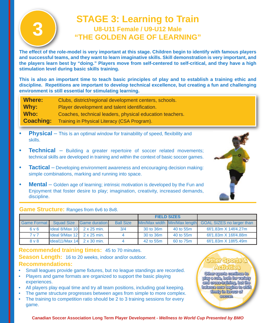## **3 STAGE 3: Learning to Train U8-U11 Female / U9-U12 Male "THE GOLDEN AGE OF LEARNING"**

**The effect of the role-model is very important at this stage. Children begin to identify with famous players and successful teams, and they want to learn imaginative skills. Skill demonstration is very important, and the players learn best by "doing." Players move from self-centered to self-critical, and they have a high stimulation level during basic skills training.**

**This is also an important time to teach basic principles of play and to establish a training ethic and discipline. Repetitions are important to develop technical excellence, but creating a fun and challenging environment is still essential for stimulating learning.**

| Where:           | Clubs, district/regional development centers, schools.   |
|------------------|----------------------------------------------------------|
| Why:             | Player development and talent identification.            |
| Who:             | Coaches, technical leaders, physical education teachers. |
| <b>Coaching:</b> | Training in Physical Literacy (CSA Program).             |

- **Physical** This is an optimal window for trainability of speed, flexibility and skills.
- **Technical** Building a greater repertoire of soccer related movements; technical skills are developed in training and within the context of basic soccer games.
- **Tactical** Developing environment awareness and encouraging decision making: simple combinations, marking and running into space.
- **Mental** Golden age of learning; intrinsic motivation is developed by the Fun and Enjoyment that foster desire to play; imagination, creativity, increased demands, discipline.



### **Game Structure:** Ranges from 6v6 to 8v8.

|                    |                                                          |                      |                  | <b>FIELD SIZES</b> |           |                                                        |
|--------------------|----------------------------------------------------------|----------------------|------------------|--------------------|-----------|--------------------------------------------------------|
| <b>Game Format</b> | <b>Squad Size</b>                                        | <b>Game duration</b> | <b>Ball Size</b> |                    |           | Min/Max width Min/Max length GOAL SIZES no larger than |
| 6v6                | $\lvert \cdot \rvert$ deal 8/Max 10 $\lvert$ 2 x 25 min. |                      | 3/4              | 30 to 36m          | 40 to 55m | 6f/1.83m X 14f/4.27m                                   |
| 7 <sub>v</sub>     | Ideal $9$ /Max 12 $2 \times 25$ min.                     |                      |                  | 30 to 36m          | 40 to 55m | 6f/1.83m X 16f/4.88m                                   |
| $8v$ 8             | $\text{Ideal11/Max}$ 14 2 x 30 min.                      |                      |                  | 42 to 55m          | 60 to 75m | 6f/1.83m X 18f/5.49m                                   |

### **Recommended training times:** 45 to 70 minutes. **Season Length:** 16 to 20 weeks, indoor and/or outdoor. **Recommendations:**

- Small leagues provide game fixtures, but no league standings are recorded.
- Players and game formats are organized to support the basic playing experiences.
- All players play equal time and try all team positions, including goal keeping.
- The game structure progresses between ages from simple to more complex.
- The training to competition ratio should be 2 to 3 training sessions for every game.

# **Other Sports &**

Other sports continue to play a role, both for variety and cross-training, but the balance now begins to shift firmly in *lavour* of **SOCCET**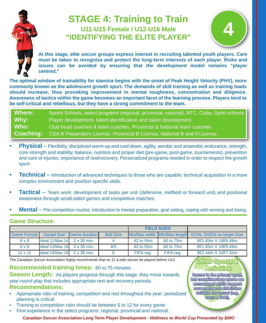## **STAGE 4: Training to Train U11-U15 Female / U12-U16 Male "IDENTIFYING THE ELITE PLAYER"**



**At this stage, elite soccer groups express interest in recruiting talented youth players. Care must be taken to recognize and protect the long-term interests of each player. Risks and issues can be avoided by ensuring that the development model remains "player centred."**

**The optimal window of trainability for stamina begins with the onset of Peak Height Velocity (PHV), more commonly known as the adolescent growth spurt. The demands of skill training as well as training loads should increase, thus provoking improvement in mental toughness, concentration and diligence. Awareness of tactics within the game becomes an important facet of the learning process. Players tend to be self-critical and rebellious, but they have a strong commitment to the team.**

**Where:** Sports Schools, select programs (regional, provincial, national), NTC, Clubs, Sport schools. **Why:** Player development, talent identification and talent development. **Who:** Club head coaches & team coaches, Provincial & National team coaches. **Coaching:** CSA B Preparatory License, Provincial B License, National B and A License.

- **Physical** Flexibility, disciplined warm-up and cool-down, agility, aerobic and anaerobic endurance, strength, core strength and stability, balance, nutrition and proper diet (pre-game, post-game, tournaments), prevention and care of injuries, importance of rest/recovery. Personalized programs needed in order to respect the growth spurt.
- **Fechnical** Introduction of advanced techniques to those who are capable; technical acquisition in a more complex environment and position-specific skills.
- **Tactical** Team work: development of tasks per unit (defensive, midfield or forward unit) and positional awareness through small-sided games and competitive matches.
- **Mental** Pre-competition routine, introduction to mental preparation, goal setting, coping with winning and losing.

### **Game Structure:**

|                    |                                                      |                       |                  |           | <b>FIELD SIZES</b>           |                                  |
|--------------------|------------------------------------------------------|-----------------------|------------------|-----------|------------------------------|----------------------------------|
| <b>Game Format</b> | <b>Squad Size</b>                                    | <b>IGame duration</b> | <b>Ball Size</b> |           | Min/Max width Min/Max length | <b>GOAL SIZES no larger than</b> |
| 8 <sub>V</sub> 8   | $\lvert \cdot \rvert$ 11/Max 14 $\lvert$ 2 x 30 min. |                       |                  | 42 to 55m | 60 to 75m                    | 6f/1.83m X 18f/5.49m             |
| 9 <sub>v</sub>     | $\lambda$ ldeal 12/Max 16 2 x 35 min.                |                       | 4/5              | 42 to 55m | 60 to 75m                    | 6f/1.83m X 18f/5.49m             |
| 11 v 11            | Ideal $16$ /Max $18$ 2 x 35 min.                     |                       |                  | FIFA req. | FIFA req.                    | 8f/2.44m X 24f/7.32m             |

*The Canadian Soccer Association highly recommends that no 11 a-side soccer be played before U13.*

### **Recommended training times:** 60 to 75 minutes.

**Season Length:** As players progress through this stage, they move towards year-round play that includes appropriate rest and recovery periods. **Recommendations:**

- Appropriate ratio of training, competition and rest throughout the year; periodized planning is critical.
- Training to competition ratio should be between 5 to 12 for every game.
- First experience in the select programs: regional, provincial and national.

**Canadian Soccer Association Long Term Player Development -** *Wellness to World Cup Presented by BMO*

Other Sports **Activities** 

Soccer is the primary sport, but complimentary sports are encouraged which support movement and athleticism suffable for soccer (e.g. track & field).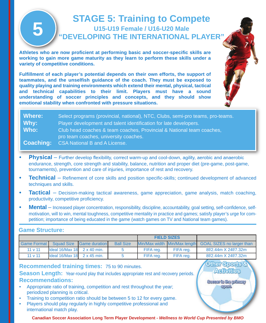## **STAGE 5: Training to Compete U15-U19 Female / U16-U20 Male "DEVELOPING THE INTERNATIONAL PLAYER"**

**Athletes who are now proficient at performing basic and soccer-specific skills are working to gain more game maturity as they learn to perform these skills under a variety of competitive conditions.**

**Fulfillment of each player's potential depends on their own efforts, the support of teammates, and the unselfish guidance of the coach. They must be exposed to quality playing and training environments which extend their mental, physical, tactical and technical capabilities to their limit. Players must have a sound understanding of soccer principles and concepts, and they should show emotional stability when confronted with pressure situations.**

| Where:           | Select programs (provincial, national), NTC, Clubs, semi-pro teams, pro-teams. |
|------------------|--------------------------------------------------------------------------------|
| Why:             | Player development and talent identification for late developers.              |
| Who:             | Club head coaches & team coaches, Provincial & National team coaches,          |
|                  | pro team coaches, university coaches.                                          |
| <b>Coaching:</b> | CSA National B and A License.                                                  |

- **Physical** Further develop flexibility, correct warm-up and cool-down, agility, aerobic and anaerobic endurance, strength, core strength and stability, balance, nutrition and proper diet (pre-game, post-game, tournaments), prevention and care of injuries, importance of rest and recovery.
- **Technical** Refinement of core skills and position specific-skills; continued development of advanced techniques and skills.
- **Tactical** Decision-making tactical awareness, game appreciation, game analysis, match coaching, productivity, competitive proficiency.
- **Mental** Increased player concentration, responsibility, discipline, accountability, goal setting, self-confidence, selfmotivation, will to win, mental toughness, competitive mentality in practice and games; satisfy player's urge for competition; importance of being educated in the game (watch games on TV and National team games).

### **Game Structure:**

**5**

| ___________________ |                                  |                          |                    |           |                              |                                  |
|---------------------|----------------------------------|--------------------------|--------------------|-----------|------------------------------|----------------------------------|
|                     |                                  |                          | <b>FIELD SIZES</b> |           |                              |                                  |
| <b>Game Format</b>  |                                  | Squad Size Game duration | <b>Ball Size</b>   |           | Min/Max width Min/Max length | <b>GOAL SIZES</b> no larger than |
| 11 v 11             | Ideal $16$ /Max $18$ 2 x 40 min. |                          |                    | FIFA req. | FIFA rea.                    | 8f/2.44m X 24f/7.32m             |
| 11 v 11             | Ideal $16$ /Max $18$ 2 x 45 min. |                          |                    | FIFA req. | FIFA rea.                    | 8f/2.44m X 24f/7.32m             |
|                     |                                  |                          |                    |           |                              | Other Sports &                   |

**Activities** 

Soccer is the primary **Sport.** 

### **Recommended training times:** 75 to 90 minutes.

**Season Length:** Year-round play that includes appropriate rest and recovery periods. **Recommendations:**

- Appropriate ratio of training, competition and rest throughout the year; periodized planning is critical.
- Training to competition ratio should be between 5 to 12 for every game.
- Players should play regularly in highly competitive professional and international match play.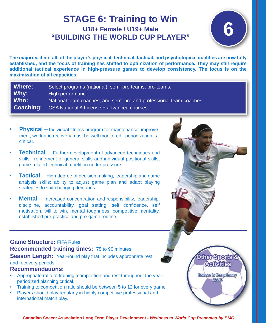## **6 STAGE 6: Training to Win U18+ Female / U19+ Male "BUILDING THE WORLD CUP PLAYER"**



Other Sports **Acitylities** 

Soccer is the primary **Sport** 

**The majority, if not all, of the player's physical, technical, tactical, and psychological qualities are now fully established, and the focus of training has shifted to optimization of performance. They may still require additional tactical experience in high-pressure games to develop consistency. The focus is on the maximization of all capacities.**

| Where:           | Select programs (national), semi-pro teams, pro-teams.             |
|------------------|--------------------------------------------------------------------|
| Why:             | High performance.                                                  |
| Who:             | National team coaches, and semi-pro and professional team coaches. |
| <b>Coaching:</b> | CSA National A License + advanced courses.                         |

- **Physical** Individual fitness program for maintenance, improve ment; work and recovery must be well monitored; periodization is critical.
- **Technical** Further development of advanced techniques and skills; refinement of general skills and individual positional skills; game-related technical repetition under pressure.
- **Tactical** High degree of decision making, leadership and game analysis skills; ability to adjust game plan and adapt playing strategies to suit changing demands.
- **Mental** Increased concentration and responsibility, leadership, discipline, accountability, goal setting, self confidence, self motivation, will to win, mental toughness, competitive mentality, established pre-practice and pre-game routine.

### **Game Structure:** FIFA Rules. **Recommended training times:** 75 to 90 minutes. **Season Length:** Year-round play that includes appropriate rest and recovery periods.

### **Recommendations:**

- Appropriate ratio of training, competition and rest throughout the year; periodized planning critical.
- Training to competition ratio should be between 5 to 12 for every game.
- Players should play regularly in highly competitive professional and international match play.

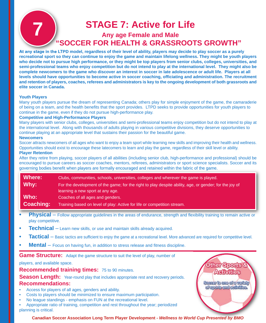## **STAGE 7: Active for Life Any age Female and Male "SOCCER FOR HEALTH & GRASSROOTS GROWTH"**

**At any stage in the LTPD model, regardless of their level of ability, players may decide to play soccer as a purely recreational sport so they can continue to enjoy the game and maintain lifelong wellness. They might be youth players who decide not to pursue high performance, or they might be top players from senior clubs, colleges, universities, and semi-professional teams who enjoy competition but do not intend to play at the international level. They might also be complete newcomers to the game who discover an interest in soccer in late adolescence or adult life. Players at all levels should have opportunities to become active in soccer coaching, officiating and administration. The recruitment and retention of players, coaches, referees and administrators is key to the ongoing development of both grassroots and elite soccer in Canada.**

### **Youth Players**

Many youth players pursue the dream of representing Canada; others play for simple enjoyment of the game, the camaraderie of being on a team, and the health benefits that the sport provides. LTPD seeks to provide opportunities for youth players to continue in the game, even if they do not pursue high-performance play.

### **Competitive and High-Performance Players**

Many players with senior clubs, colleges, universities and semi-professional teams enjoy competition but do not intend to play at the international level. Along with thousands of adults playing in various competitive divisions, they deserve opportunities to continue playing at an appropriate level that sustains their passion for the beautiful game.

#### **Newcomers**

Soccer attracts newcomers of all ages who want to enjoy a team sport while learning new skills and improving their health and wellness. Opportunities should exist to encourage these latecomers to learn and play the game, regardless of their skill level or ability.

### **Player Retention**

After they retire from playing, soccer players of all abilities (including senior club, high-performance and professional) should be encouraged to pursue careers as soccer coaches, mentors, referees, administrators or sport science specialists. Soccer and its governing bodies benefit when players are formally encouraged and retained within the fabric of the game.

| Where:           | Clubs, communities, schools, universities, colleges and wherever the game is played.                   |
|------------------|--------------------------------------------------------------------------------------------------------|
| Why:             | For the development of the game; for the right to play despite ability, age, or gender; for the joy of |
|                  | learning a new sport at any age.                                                                       |
| Who:             | Coaches of all ages and genders.                                                                       |
| <b>Coaching:</b> | Training based on level of play: Active for life or competition stream.                                |

- **• Physical** Follow appropriate guidelines in the areas of endurance, strength and flexibility training to remain active or play competitive.
- **Technical** Learn new skills, or use and maintain skills already acquired.
- **Tactical** Basic tactics are sufficient to enjoy the game at a recreational level. More advanced are required for competitive level.
- **Mental** Focus on having fun, in addition to stress release and fitness discipline.

**Game Structure:** Adapt the game structure to suit the level of play, number of

players, and available space.

**Recommended training times:** 75 to 90 minutes.

**Season Length:** Year-round play that includes appropriate rest and recovery periods. **Recommendations:**

- Access for players of all ages, genders and ability.
- Costs to players should be minimized to ensure maximum participation.
- No league standings emphasis on FUN at the recreational level.

• Appropriate ratio of training, competition and rest throughout the year; periodized planning is critical.

Other Sports & Acitylites Soccer is one of a variety of sports and activities.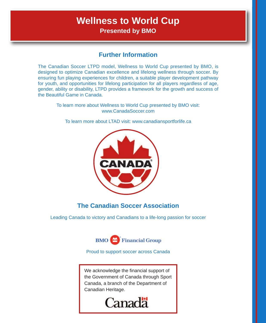## **Wellness to World Cup Presented by BMO**

### **Further Information**

The Canadian Soccer LTPD model, Wellness to World Cup presented by BMO, is designed to optimize Canadian excellence and lifelong wellness through soccer. By ensuring fun playing experiences for children, a suitable player development pathway for youth, and opportunities for lifelong participation for all players regardless of age, gender, ability or disability, LTPD provides a framework for the growth and success of the Beautiful Game in Canada.

To learn more about Wellness to World Cup presented by BMO visit: www.CanadaSoccer.com

To learn more about LTAD visit: www.canadiansportforlife.ca



### **The Canadian Soccer Association**

Leading Canada to victory and Canadians to a life-long passion for soccer



Proud to support soccer across Canada

We acknowledge the financial support of the Government of Canada through Sport Canada, a branch of the Department of Canadian Heritage.